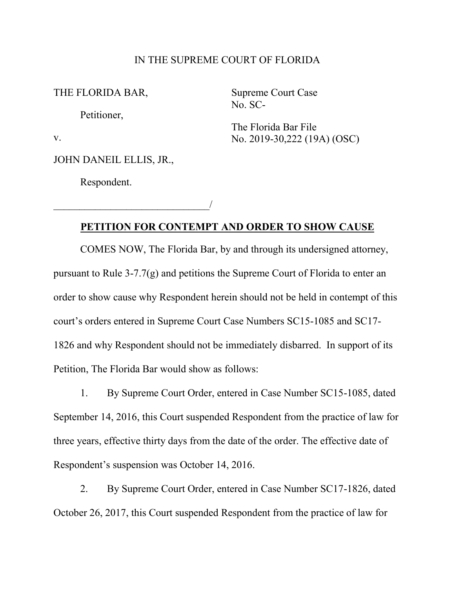## IN THE SUPREME COURT OF FLORIDA

THE FLORIDA BAR,

Petitioner,

v.

JOHN DANEIL ELLIS, JR.,

\_\_\_\_\_\_\_\_\_\_\_\_\_\_\_\_\_\_\_\_\_\_\_\_\_\_\_\_\_\_/

Respondent.

Supreme Court Case No. SC-

The Florida Bar File No. 2019-30,222 (19A) (OSC)

## **PETITION FOR CONTEMPT AND ORDER TO SHOW CAUSE**

COMES NOW, The Florida Bar, by and through its undersigned attorney, pursuant to Rule 3-7.7(g) and petitions the Supreme Court of Florida to enter an order to show cause why Respondent herein should not be held in contempt of this court's orders entered in Supreme Court Case Numbers SC15-1085 and SC17- 1826 and why Respondent should not be immediately disbarred. In support of its Petition, The Florida Bar would show as follows:

1. By Supreme Court Order, entered in Case Number SC15-1085, dated September 14, 2016, this Court suspended Respondent from the practice of law for three years, effective thirty days from the date of the order. The effective date of Respondent's suspension was October 14, 2016.

2. By Supreme Court Order, entered in Case Number SC17-1826, dated October 26, 2017, this Court suspended Respondent from the practice of law for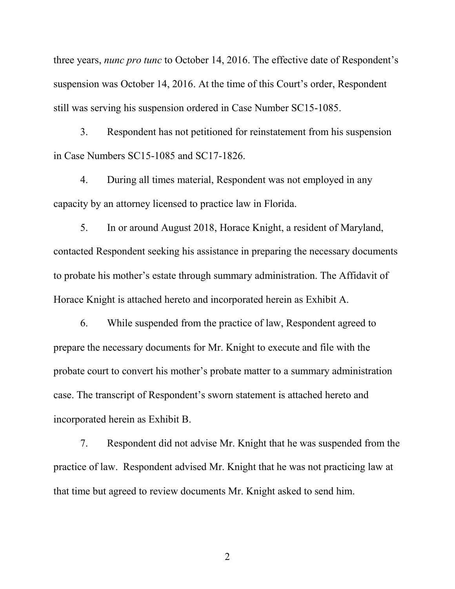three years, *nunc pro tunc* to October 14, 2016. The effective date of Respondent's suspension was October 14, 2016. At the time of this Court's order, Respondent still was serving his suspension ordered in Case Number SC15-1085.

3. Respondent has not petitioned for reinstatement from his suspension in Case Numbers SC15-1085 and SC17-1826.

4. During all times material, Respondent was not employed in any capacity by an attorney licensed to practice law in Florida.

5. In or around August 2018, Horace Knight, a resident of Maryland, contacted Respondent seeking his assistance in preparing the necessary documents to probate his mother's estate through summary administration. The Affidavit of Horace Knight is attached hereto and incorporated herein as Exhibit A.

6. While suspended from the practice of law, Respondent agreed to prepare the necessary documents for Mr. Knight to execute and file with the probate court to convert his mother's probate matter to a summary administration case. The transcript of Respondent's sworn statement is attached hereto and incorporated herein as Exhibit B.

7. Respondent did not advise Mr. Knight that he was suspended from the practice of law. Respondent advised Mr. Knight that he was not practicing law at that time but agreed to review documents Mr. Knight asked to send him.

2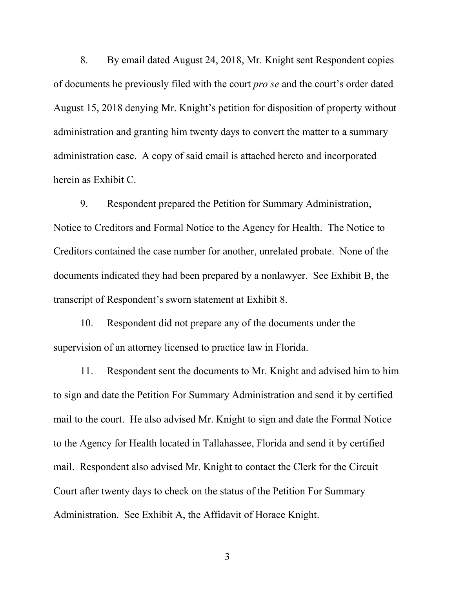8. By email dated August 24, 2018, Mr. Knight sent Respondent copies of documents he previously filed with the court *pro se* and the court's order dated August 15, 2018 denying Mr. Knight's petition for disposition of property without administration and granting him twenty days to convert the matter to a summary administration case. A copy of said email is attached hereto and incorporated herein as Exhibit C.

9. Respondent prepared the Petition for Summary Administration, Notice to Creditors and Formal Notice to the Agency for Health. The Notice to Creditors contained the case number for another, unrelated probate. None of the documents indicated they had been prepared by a nonlawyer. See Exhibit B, the transcript of Respondent's sworn statement at Exhibit 8.

10. Respondent did not prepare any of the documents under the supervision of an attorney licensed to practice law in Florida.

11. Respondent sent the documents to Mr. Knight and advised him to him to sign and date the Petition For Summary Administration and send it by certified mail to the court. He also advised Mr. Knight to sign and date the Formal Notice to the Agency for Health located in Tallahassee, Florida and send it by certified mail. Respondent also advised Mr. Knight to contact the Clerk for the Circuit Court after twenty days to check on the status of the Petition For Summary Administration. See Exhibit A, the Affidavit of Horace Knight.

3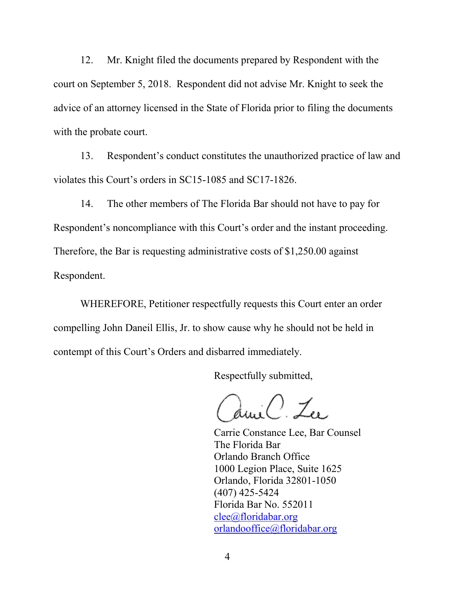12. Mr. Knight filed the documents prepared by Respondent with the court on September 5, 2018. Respondent did not advise Mr. Knight to seek the advice of an attorney licensed in the State of Florida prior to filing the documents with the probate court.

13. Respondent's conduct constitutes the unauthorized practice of law and violates this Court's orders in SC15-1085 and SC17-1826.

14. The other members of The Florida Bar should not have to pay for Respondent's noncompliance with this Court's order and the instant proceeding. Therefore, the Bar is requesting administrative costs of \$1,250.00 against Respondent.

WHEREFORE, Petitioner respectfully requests this Court enter an order compelling John Daneil Ellis, Jr. to show cause why he should not be held in contempt of this Court's Orders and disbarred immediately.

Respectfully submitted,

iC. Zu

Carrie Constance Lee, Bar Counsel The Florida Bar Orlando Branch Office 1000 Legion Place, Suite 1625 Orlando, Florida 32801-1050 (407) 425-5424 Florida Bar No. 552011 clee@floridabar.org orlandooffice@floridabar.org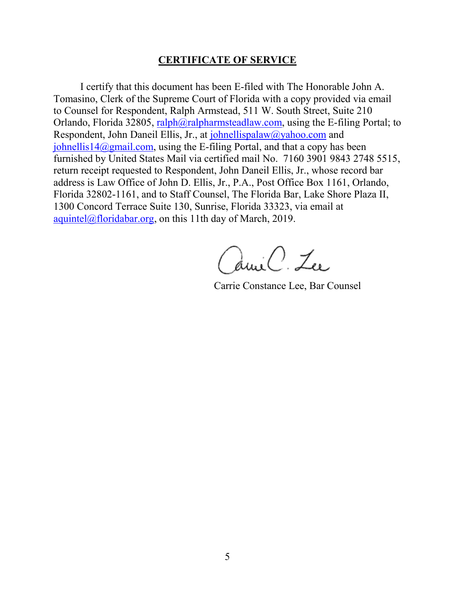## **CERTIFICATE OF SERVICE**

I certify that this document has been E-filed with The Honorable John A. Tomasino, Clerk of the Supreme Court of Florida with a copy provided via email to Counsel for Respondent, Ralph Armstead, 511 W. South Street, Suite 210 Orlando, Florida 32805, [ralph@ralpharmsteadlaw.com,](mailto:ralph@ralpharmsteadlaw.com) using the E-filing Portal; to Respondent, John Daneil Ellis, Jr., at [johnellispalaw@yahoo.com](mailto:johnellispalaw@yahoo.com) and [johnellis14@gmail.com,](mailto:johnellis14@gmail.com) using the E-filing Portal, and that a copy has been furnished by United States Mail via certified mail No. 7160 3901 9843 2748 5515, return receipt requested to Respondent, John Daneil Ellis, Jr., whose record bar address is Law Office of John D. Ellis, Jr., P.A., Post Office Box 1161, Orlando, Florida 32802-1161, and to Staff Counsel, The Florida Bar, Lake Shore Plaza II, 1300 Concord Terrace Suite 130, Sunrise, Florida 33323, via email at [aquintel@floridabar.org,](mailto:aquintel@floridabar.org) on this 11th day of March, 2019.

amil. Lu

Carrie Constance Lee, Bar Counsel